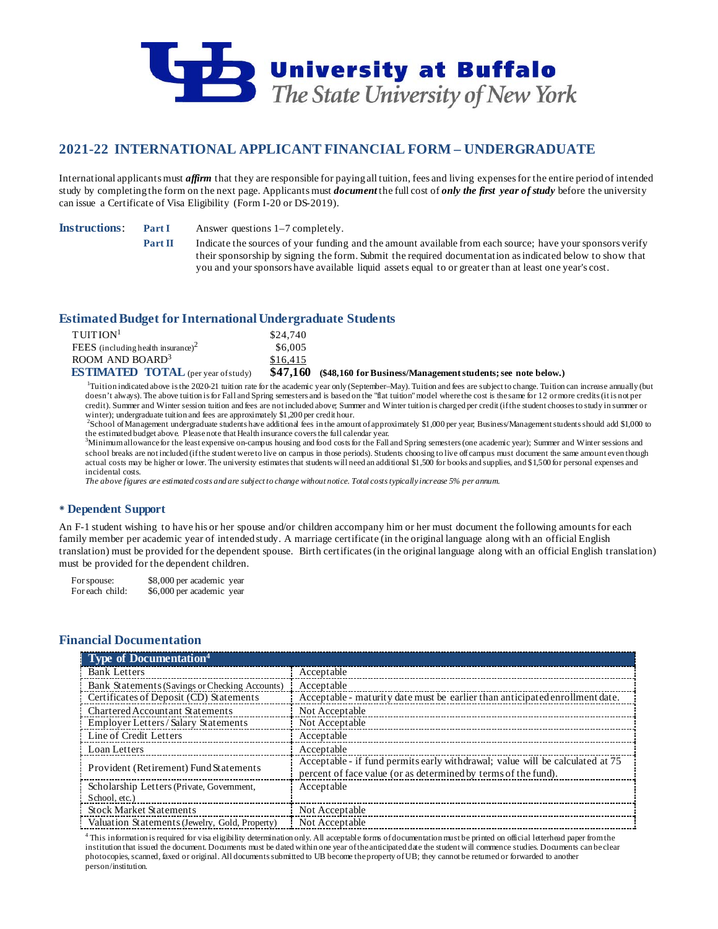

# **2021-22 INTERNATIONAL APPLICANT FINANCIAL FORM – UNDERGRADUATE**

International applicants must *affirm* that they are responsible for paying all tuition, fees and living expenses for the entire period of intended study by completing the form on the next page. Applicants must *document* the full cost of *only the first year of study* before the university can issue a Certificate of Visa Eligibility (Form I-20 or DS-2019).

**Instructions: Part I** Answer questions 1–7 completely.

**Part II** Indicate the sources of your funding and the amount available from each source; have your sponsors verify their sponsorship by signing the form. Submit the required documentation as indicated below to show that you and your sponsors have available liquid assets equal to or greater than at least one year's cost.

# **Estimated Budget for International Undergraduate Students**

| TUITION <sup>1</sup>                           | \$24,740 |                                                                       |
|------------------------------------------------|----------|-----------------------------------------------------------------------|
| FEES (including health insurance) <sup>2</sup> | \$6,005  |                                                                       |
| ROOM AND BOARD <sup>3</sup>                    | \$16.415 |                                                                       |
| <b>ESTIMATED TOTAL</b> (per year of study)     |          | \$47,160 (\$48,160 for Business/Management students; see note below.) |

<sup>1</sup>Tuition indicated above is the 2020-21 tuition rate for the academic year only (September–May). Tuition and fees are subject to change. Tuition can increase annually (but doesn't always). The above tuition is for Fall and Spring semesters and is based on the "flat tuition" model where the cost is the same for 12 or more credits (it is not per credit). Summer and Winter session tuition and fees are not included above; Summer and Winter tuition is charged per credit (if the student chooses to study in summer or winter); undergraduate tuition and fees are approximately \$1,200 per credit hour.

School of Management undergraduate students have additional fees in the amount of approximately \$1,000 per year; Business/Management students should add \$1,000 to the estimated budget above. Please note that Health insurance covers the full calendar year. <sup>3</sup>

Minimum allowance for the least expensive on-campus housing and food costs for the Fall and Spring semesters (one academic year); Summer and Winter sessions and school breaks are not included (if the student were to live on campus in those periods). Students choosing to live off campus must document the same amount even though actual costs may be higher or lower. The university estimates that students will need an additional \$1,500 for books and supplies, and \$1,500 for personal expenses and incidental costs.

*The above figures are estimated costs and are subject to change without notice. Total costs typically increase 5% per annum.*

## **Dependent Support**

An F-1 student wishing to have his or her spouse and/or children accompany him or her must document the following amounts for each family member per academic year of intended study. A marriage certificate (in the original language along with an official English translation) must be provided for the dependent spouse. Birth certificates (in the original language along with an official English translation) must be provided for the dependent children.

For spouse: \$8,000 per academic year For each child: \$6,000 per academic year

### **Financial Documentation**

| <b>Type of Documentation</b> <sup>4</sup>      |                                                                                                                                                 |
|------------------------------------------------|-------------------------------------------------------------------------------------------------------------------------------------------------|
| <b>Bank Letters</b>                            | Acceptable                                                                                                                                      |
| Bank Statements (Savings or Checking Accounts) | Acceptable                                                                                                                                      |
| Certificates of Deposit (CD) Statements        | Acceptable - maturity date must be earlier than anticipated enrollment date.                                                                    |
| <b>Chartered Accountant Statements</b>         | Not Acceptable                                                                                                                                  |
| Employer Letters / Salary Statements           | Not Acceptable                                                                                                                                  |
| Line of Credit Letters                         | Acceptable                                                                                                                                      |
| Loan Letters                                   | Acceptable                                                                                                                                      |
| Provident (Retirement) Fund Statements         | Acceptable - if fund permits early withdrawal; value will be calculated at 75<br>percent of face value (or as determined by terms of the fund). |
| Scholarship Letters (Private, Government,      | Acceptable                                                                                                                                      |
| School, etc.)                                  |                                                                                                                                                 |
| <b>Stock Market Statements</b>                 | Not Acceptable                                                                                                                                  |
| Valuation Statements (Jewelry, Gold, Property) | Not Acceptable                                                                                                                                  |

<sup>4</sup> This information is required for visa eligibility determination only. All acceptable forms of documentation must be printed on official letterhead paper from the institution that issued the document. Documents must be dated within one year of the anticipated date the student will commence studies. Documents can be clear photocopies, scanned, faxed or original. All documents submitted to UB become the property of UB; they cannot be returned or forwarded to another person/institution.